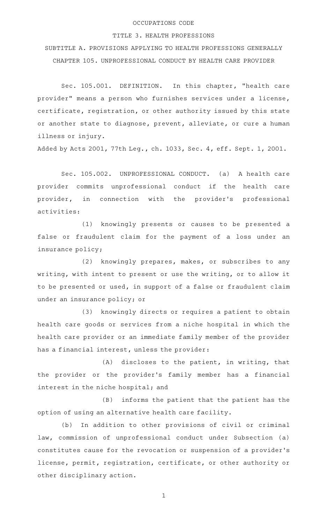## OCCUPATIONS CODE

## TITLE 3. HEALTH PROFESSIONS

SUBTITLE A. PROVISIONS APPLYING TO HEALTH PROFESSIONS GENERALLY CHAPTER 105. UNPROFESSIONAL CONDUCT BY HEALTH CARE PROVIDER

Sec. 105.001. DEFINITION. In this chapter, "health care provider" means a person who furnishes services under a license, certificate, registration, or other authority issued by this state or another state to diagnose, prevent, alleviate, or cure a human illness or injury.

Added by Acts 2001, 77th Leg., ch. 1033, Sec. 4, eff. Sept. 1, 2001.

Sec. 105.002. UNPROFESSIONAL CONDUCT. (a) A health care provider commits unprofessional conduct if the health care provider, in connection with the provider's professional activities:

(1) knowingly presents or causes to be presented a false or fraudulent claim for the payment of a loss under an insurance policy;

 $(2)$  knowingly prepares, makes, or subscribes to any writing, with intent to present or use the writing, or to allow it to be presented or used, in support of a false or fraudulent claim under an insurance policy; or

(3) knowingly directs or requires a patient to obtain health care goods or services from a niche hospital in which the health care provider or an immediate family member of the provider has a financial interest, unless the provider:

 $(A)$  discloses to the patient, in writing, that the provider or the provider 's family member has a financial interest in the niche hospital; and

 $(B)$  informs the patient that the patient has the option of using an alternative health care facility.

(b) In addition to other provisions of civil or criminal law, commission of unprofessional conduct under Subsection (a) constitutes cause for the revocation or suspension of a provider 's license, permit, registration, certificate, or other authority or other disciplinary action.

1